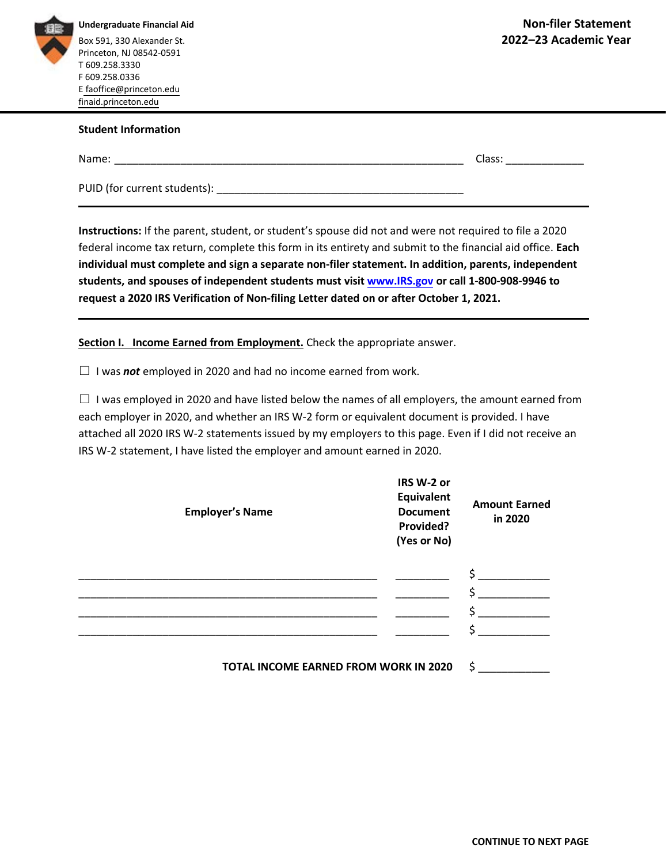

**Undergraduate Financial Aid**  Box 591, 330 Alexander St. Princeton, NJ 08542-0591 T 609.258.3330 F 609.258.0336 [E faoffice@princeton.edu](mailto:faoffice@princeton.edu)  [finaid.princeton.edu](https://finaid.princeton.edu/) 

## **Student Information**

Name: \_\_\_\_\_\_\_\_\_\_\_\_\_\_\_\_\_\_\_\_\_\_\_\_\_\_\_\_\_\_\_\_\_\_\_\_\_\_\_\_\_\_\_\_\_\_\_\_\_\_\_\_\_\_\_\_\_\_ Class: \_\_\_\_\_\_\_\_\_\_\_\_\_

PUID (for current students): \_\_\_\_\_\_\_\_\_\_\_\_\_\_\_\_\_\_\_\_\_\_\_\_\_\_\_\_\_\_\_\_\_\_\_\_\_\_\_\_\_

**Instructions:** If the parent, student, or student's spouse did not and were not required to file a 2020 federal income tax return, complete this form in its entirety and submit to the financial aid office. **Each individual must complete and sign a separate non-filer statement. In addition, parents, independent students, and spouses of independent students must visit [www.IRS.gov](https://www.irs.gov/) or call 1-800-908-9946 to request a 2020 IRS Verification of Non-filing Letter dated on or after October 1, 2021.**

**Section I. Income Earned from Employment.** Check the appropriate answer.

☐ I was *not* employed in 2020 and had no income earned from work.

 $\Box$  I was employed in 2020 and have listed below the names of all employers, the amount earned from each employer in 2020, and whether an IRS W-2 form or equivalent document is provided. I have attached all 2020 IRS W-2 statements issued by my employers to this page. Even if I did not receive an IRS W-2 statement, I have listed the employer and amount earned in 2020.

| <b>Employer's Name</b> | IRS W-2 or<br>Equivalent<br><b>Document</b><br>Provided?<br>(Yes or No)               | <b>Amount Earned</b><br>in 2020 |
|------------------------|---------------------------------------------------------------------------------------|---------------------------------|
|                        | $\overline{\phantom{0}}$<br>$\overline{\phantom{a}}$<br>▼<br>$\overline{\phantom{a}}$ |                                 |

**TOTAL INCOME EARNED FROM WORK IN 2020** \$ \_\_\_\_\_\_\_\_\_\_\_\_